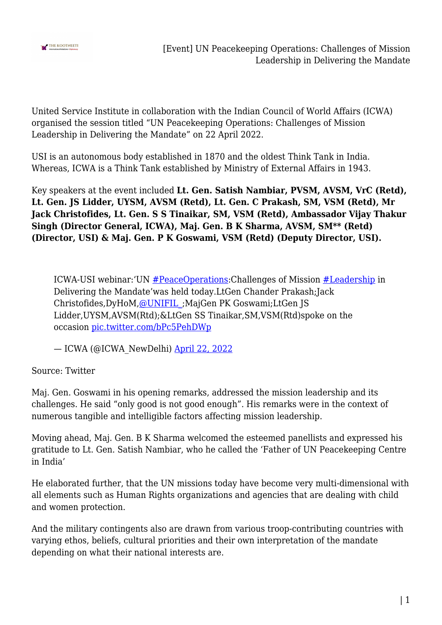

United Service Institute in collaboration with the Indian Council of World Affairs (ICWA) organised the session titled "UN Peacekeeping Operations: Challenges of Mission Leadership in Delivering the Mandate" on 22 April 2022.

USI is an autonomous body established in 1870 and the oldest Think Tank in India. Whereas, ICWA is a Think Tank established by Ministry of External Affairs in 1943.

Key speakers at the event included **Lt. Gen. Satish Nambiar, PVSM, AVSM, VrC (Retd), Lt. Gen. JS Lidder, UYSM, AVSM (Retd), Lt. Gen. C Prakash, SM, VSM (Retd), Mr Jack Christofides, Lt. Gen. S S Tinaikar, SM, VSM (Retd), Ambassador Vijay Thakur Singh (Director General, ICWA), Maj. Gen. B K Sharma, AVSM, SM\*\* (Retd) (Director, USI) & Maj. Gen. P K Goswami, VSM (Retd) (Deputy Director, USI).**

ICWA-USI webinar:'UN [#PeaceOperations](https://twitter.com/hashtag/PeaceOperations?src=hash&ref_src=twsrc%5Etfw):Challenges of Mission [#Leadership](https://twitter.com/hashtag/Leadership?src=hash&ref_src=twsrc%5Etfw) in Delivering the Mandate'was held today.LtGen Chander Prakash;Jack Christofides,DyHoM,[@UNIFIL\\_;](https://twitter.com/UNIFIL_?ref_src=twsrc%5Etfw)MajGen PK Goswami;LtGen JS Lidder,UYSM,AVSM(Rtd);&LtGen SS Tinaikar,SM,VSM(Rtd)spoke on the occasion [pic.twitter.com/bPc5PehDWp](https://t.co/bPc5PehDWp)

— ICWA (@ICWA\_NewDelhi) [April 22, 2022](https://twitter.com/ICWA_NewDelhi/status/1517484367152836613?ref_src=twsrc%5Etfw)

Source: Twitter

Maj. Gen. Goswami in his opening remarks, addressed the mission leadership and its challenges. He said "only good is not good enough". His remarks were in the context of numerous tangible and intelligible factors affecting mission leadership.

Moving ahead, Maj. Gen. B K Sharma welcomed the esteemed panellists and expressed his gratitude to Lt. Gen. Satish Nambiar, who he called the 'Father of UN Peacekeeping Centre in India'

He elaborated further, that the UN missions today have become very multi-dimensional with all elements such as Human Rights organizations and agencies that are dealing with child and women protection.

And the military contingents also are drawn from various troop-contributing countries with varying ethos, beliefs, cultural priorities and their own interpretation of the mandate depending on what their national interests are.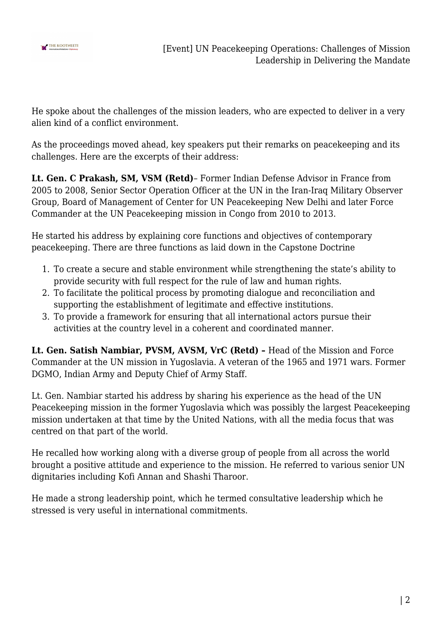

He spoke about the challenges of the mission leaders, who are expected to deliver in a very alien kind of a conflict environment.

As the proceedings moved ahead, key speakers put their remarks on peacekeeping and its challenges. Here are the excerpts of their address:

**Lt. Gen. C Prakash, SM, VSM (Retd)**– Former Indian Defense Advisor in France from 2005 to 2008, Senior Sector Operation Officer at the UN in the Iran-Iraq Military Observer Group, Board of Management of Center for UN Peacekeeping New Delhi and later Force Commander at the UN Peacekeeping mission in Congo from 2010 to 2013.

He started his address by explaining core functions and objectives of contemporary peacekeeping. There are three functions as laid down in the Capstone Doctrine

- 1. To create a secure and stable environment while strengthening the state's ability to provide security with full respect for the rule of law and human rights.
- 2. To facilitate the political process by promoting dialogue and reconciliation and supporting the establishment of legitimate and effective institutions.
- 3. To provide a framework for ensuring that all international actors pursue their activities at the country level in a coherent and coordinated manner.

**Lt. Gen. Satish Nambiar, PVSM, AVSM, VrC (Retd) –** Head of the Mission and Force Commander at the UN mission in Yugoslavia. A veteran of the 1965 and 1971 wars. Former DGMO, Indian Army and Deputy Chief of Army Staff.

Lt. Gen. Nambiar started his address by sharing his experience as the head of the UN Peacekeeping mission in the former Yugoslavia which was possibly the largest Peacekeeping mission undertaken at that time by the United Nations, with all the media focus that was centred on that part of the world.

He recalled how working along with a diverse group of people from all across the world brought a positive attitude and experience to the mission. He referred to various senior UN dignitaries including Kofi Annan and Shashi Tharoor.

He made a strong leadership point, which he termed consultative leadership which he stressed is very useful in international commitments.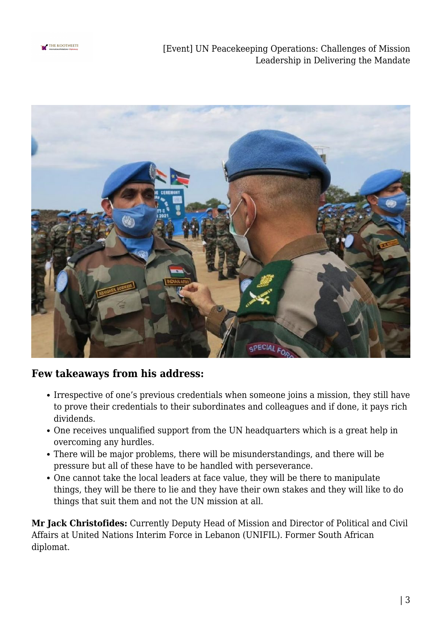

[Event] UN Peacekeeping Operations: Challenges of Mission Leadership in Delivering the Mandate



### **Few takeaways from his address:**

- Irrespective of one's previous credentials when someone joins a mission, they still have to prove their credentials to their subordinates and colleagues and if done, it pays rich dividends.
- One receives unqualified support from the UN headquarters which is a great help in overcoming any hurdles.
- There will be major problems, there will be misunderstandings, and there will be pressure but all of these have to be handled with perseverance.
- One cannot take the local leaders at face value, they will be there to manipulate things, they will be there to lie and they have their own stakes and they will like to do things that suit them and not the UN mission at all.

**Mr Jack Christofides:** Currently Deputy Head of Mission and Director of Political and Civil Affairs at United Nations Interim Force in Lebanon (UNIFIL). Former South African diplomat.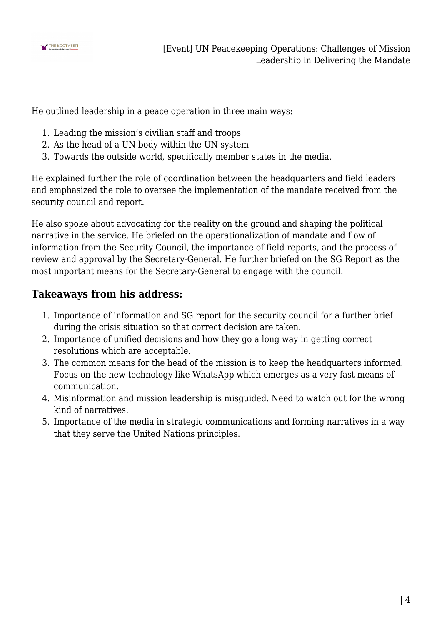

He outlined leadership in a peace operation in three main ways:

- 1. Leading the mission's civilian staff and troops
- 2. As the head of a UN body within the UN system
- 3. Towards the outside world, specifically member states in the media.

He explained further the role of coordination between the headquarters and field leaders and emphasized the role to oversee the implementation of the mandate received from the security council and report.

He also spoke about advocating for the reality on the ground and shaping the political narrative in the service. He briefed on the operationalization of mandate and flow of information from the Security Council, the importance of field reports, and the process of review and approval by the Secretary-General. He further briefed on the SG Report as the most important means for the Secretary-General to engage with the council.

## **Takeaways from his address:**

- 1. Importance of information and SG report for the security council for a further brief during the crisis situation so that correct decision are taken.
- 2. Importance of unified decisions and how they go a long way in getting correct resolutions which are acceptable.
- 3. The common means for the head of the mission is to keep the headquarters informed. Focus on the new technology like WhatsApp which emerges as a very fast means of communication.
- 4. Misinformation and mission leadership is misguided. Need to watch out for the wrong kind of narratives.
- 5. Importance of the media in strategic communications and forming narratives in a way that they serve the United Nations principles.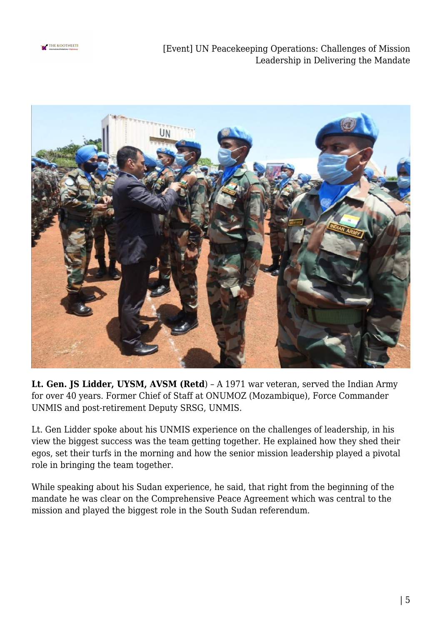

[Event] UN Peacekeeping Operations: Challenges of Mission Leadership in Delivering the Mandate



**Lt. Gen. JS Lidder, UYSM, AVSM (Retd**) – A 1971 war veteran, served the Indian Army for over 40 years. Former Chief of Staff at ONUMOZ (Mozambique), Force Commander UNMIS and post-retirement Deputy SRSG, UNMIS.

Lt. Gen Lidder spoke about his UNMIS experience on the challenges of leadership, in his view the biggest success was the team getting together. He explained how they shed their egos, set their turfs in the morning and how the senior mission leadership played a pivotal role in bringing the team together.

While speaking about his Sudan experience, he said, that right from the beginning of the mandate he was clear on the Comprehensive Peace Agreement which was central to the mission and played the biggest role in the South Sudan referendum.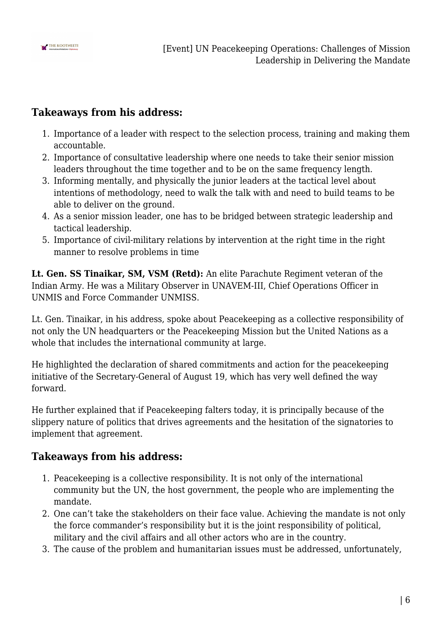

## **Takeaways from his address:**

- 1. Importance of a leader with respect to the selection process, training and making them accountable.
- 2. Importance of consultative leadership where one needs to take their senior mission leaders throughout the time together and to be on the same frequency length.
- 3. Informing mentally, and physically the junior leaders at the tactical level about intentions of methodology, need to walk the talk with and need to build teams to be able to deliver on the ground.
- 4. As a senior mission leader, one has to be bridged between strategic leadership and tactical leadership.
- 5. Importance of civil-military relations by intervention at the right time in the right manner to resolve problems in time

**Lt. Gen. SS Tinaikar, SM, VSM (Retd):** An elite Parachute Regiment veteran of the Indian Army. He was a Military Observer in UNAVEM-III, Chief Operations Officer in UNMIS and Force Commander UNMISS.

Lt. Gen. Tinaikar, in his address, spoke about Peacekeeping as a collective responsibility of not only the UN headquarters or the Peacekeeping Mission but the United Nations as a whole that includes the international community at large.

He highlighted the declaration of shared commitments and action for the peacekeeping initiative of the Secretary-General of August 19, which has very well defined the way forward.

He further explained that if Peacekeeping falters today, it is principally because of the slippery nature of politics that drives agreements and the hesitation of the signatories to implement that agreement.

## **Takeaways from his address:**

- 1. Peacekeeping is a collective responsibility. It is not only of the international community but the UN, the host government, the people who are implementing the mandate.
- 2. One can't take the stakeholders on their face value. Achieving the mandate is not only the force commander's responsibility but it is the joint responsibility of political, military and the civil affairs and all other actors who are in the country.
- 3. The cause of the problem and humanitarian issues must be addressed, unfortunately,